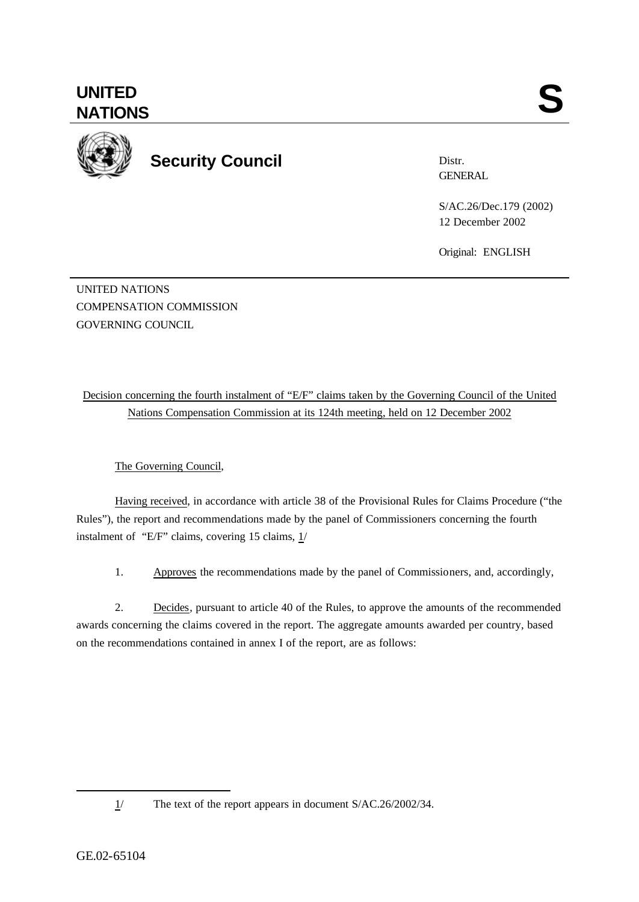**UNITED**

**Security Council**

Distr. **GENERAL** 

S/AC.26/Dec.179 (2002) 12 December 2002

Original: ENGLISH

UNITED NATIONS COMPENSATION COMMISSION GOVERNING COUNCIL

Decision concerning the fourth instalment of "E/F" claims taken by the Governing Council of the United Nations Compensation Commission at its 124th meeting, held on 12 December 2002

The Governing Council,

Having received, in accordance with article 38 of the Provisional Rules for Claims Procedure ("the Rules"), the report and recommendations made by the panel of Commissioners concerning the fourth instalment of "E/F" claims, covering 15 claims, 1/

1. Approves the recommendations made by the panel of Commissioners, and, accordingly,

2. Decides, pursuant to article 40 of the Rules, to approve the amounts of the recommended awards concerning the claims covered in the report. The aggregate amounts awarded per country, based on the recommendations contained in annex I of the report, are as follows:

l

<sup>1/</sup> The text of the report appears in document S/AC.26/2002/34.